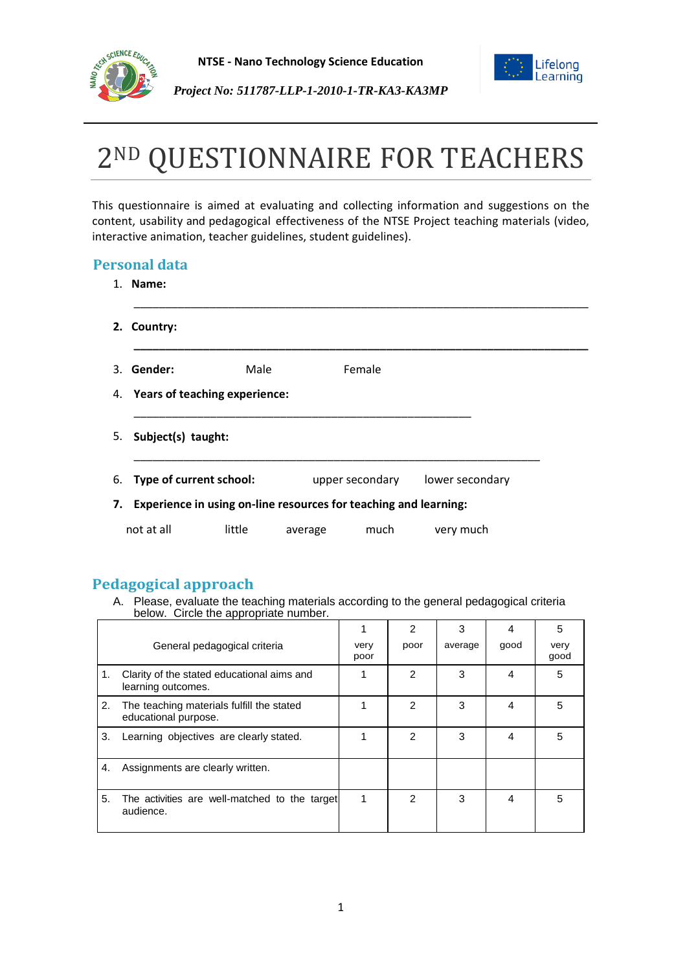



# 2ND QUESTIONNAIRE FOR TEACHERS

This questionnaire is aimed at evaluating and collecting information and suggestions on the content, usability and pedagogical effectiveness of the NTSE Project teaching materials (video, interactive animation, teacher guidelines, student guidelines).

## **Personal data**

| 1. Name:              |                                                                     |         |                 |                 |
|-----------------------|---------------------------------------------------------------------|---------|-----------------|-----------------|
| 2. Country:           |                                                                     |         |                 |                 |
| 3. Gender:            | Male                                                                |         | Female          |                 |
|                       | 4. Years of teaching experience:                                    |         |                 |                 |
| 5. Subject(s) taught: |                                                                     |         |                 |                 |
|                       | 6. Type of current school:                                          |         | upper secondary | lower secondary |
|                       | 7. Experience in using on-line resources for teaching and learning: |         |                 |                 |
| not at all            | little                                                              | average | much            | very much       |

## **Pedagogical approach**

A. Please, evaluate the teaching materials according to the general pedagogical criteria below. Circle the appropriate number.

|    |                                                                   |              | $\overline{2}$ | 3       |      | 5            |
|----|-------------------------------------------------------------------|--------------|----------------|---------|------|--------------|
|    | General pedagogical criteria                                      | very<br>poor | poor           | average | good | very<br>good |
| 1. | Clarity of the stated educational aims and<br>learning outcomes.  |              | $\overline{2}$ | 3       | 4    | 5            |
| 2. | The teaching materials fulfill the stated<br>educational purpose. |              | 2              | 3       | 4    | 5            |
| 3. | Learning objectives are clearly stated.                           |              | $\mathcal{P}$  | 3       | 4    | 5            |
| 4. | Assignments are clearly written.                                  |              |                |         |      |              |
| 5. | The activities are well-matched to the target<br>audience.        | 1            | 2              | 3       | 4    | 5            |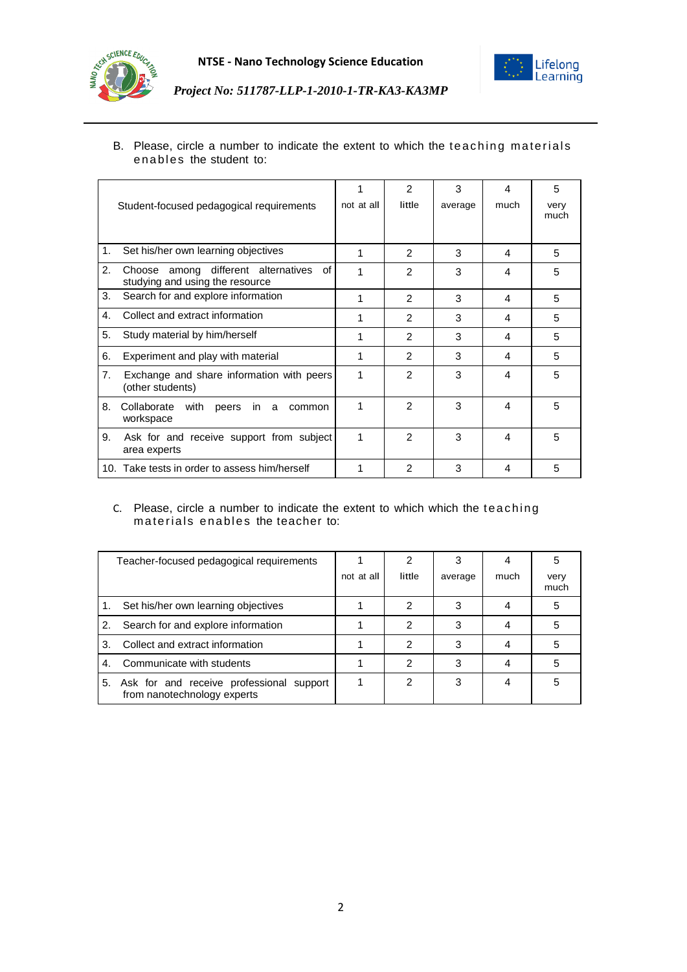



#### B. Please, circle a number to indicate the extent to which the teaching materials enables the student to:

|    |                                                                              | 1          | $\mathcal{P}$  | 3       | 4    | 5            |
|----|------------------------------------------------------------------------------|------------|----------------|---------|------|--------------|
|    | Student-focused pedagogical requirements                                     | not at all | little         | average | much | very<br>much |
|    |                                                                              |            |                |         |      |              |
| 1. | Set his/her own learning objectives                                          | 1          | $\mathcal{P}$  | 3       | 4    | 5            |
| 2. | Choose among different alternatives<br>of<br>studying and using the resource | 1          | 2              | 3       | 4    | 5            |
| 3. | Search for and explore information                                           | 1          | $\mathcal{P}$  | 3       | 4    | 5            |
| 4. | Collect and extract information                                              | 1          | $\mathcal{P}$  | 3       | 4    | 5            |
| 5. | Study material by him/herself                                                | 1          | $\mathcal{P}$  | 3       | 4    | 5            |
| 6. | Experiment and play with material                                            | 1          | $\mathcal{P}$  | 3       | 4    | 5            |
| 7. | Exchange and share information with peers<br>(other students)                | 1          | 2              | 3       | 4    | 5            |
| 8. | Collaborate<br>with<br>peers<br>in l<br>a<br>common<br>workspace             | 1          | $\mathfrak{p}$ | 3       | 4    | 5            |
| 9. | Ask for and receive support from subject<br>area experts                     | 1          | $\mathcal{P}$  | 3       | 4    | 5            |
|    | 10. Take tests in order to assess him/herself                                | 1          | $\mathcal{P}$  | 3       | 4    | 5            |

#### C. Please, circle a number to indicate the extent to which which the teac hing materials enables the teacher to:

| Teacher-focused pedagogical requirements |                                                                         |            | 2      |         |      | 5            |
|------------------------------------------|-------------------------------------------------------------------------|------------|--------|---------|------|--------------|
|                                          |                                                                         | not at all | little | average | much | verv<br>much |
|                                          | Set his/her own learning objectives                                     |            | 2      |         |      |              |
| 2.                                       | Search for and explore information                                      |            | 2      | 3       |      |              |
| 3.                                       | Collect and extract information                                         |            | 2      | 3       |      |              |
| $\mathbf{4}$                             | Communicate with students                                               |            | 2      | 3       |      |              |
| 5.                                       | Ask for and receive professional support<br>from nanotechnology experts |            | 2      | 3       |      |              |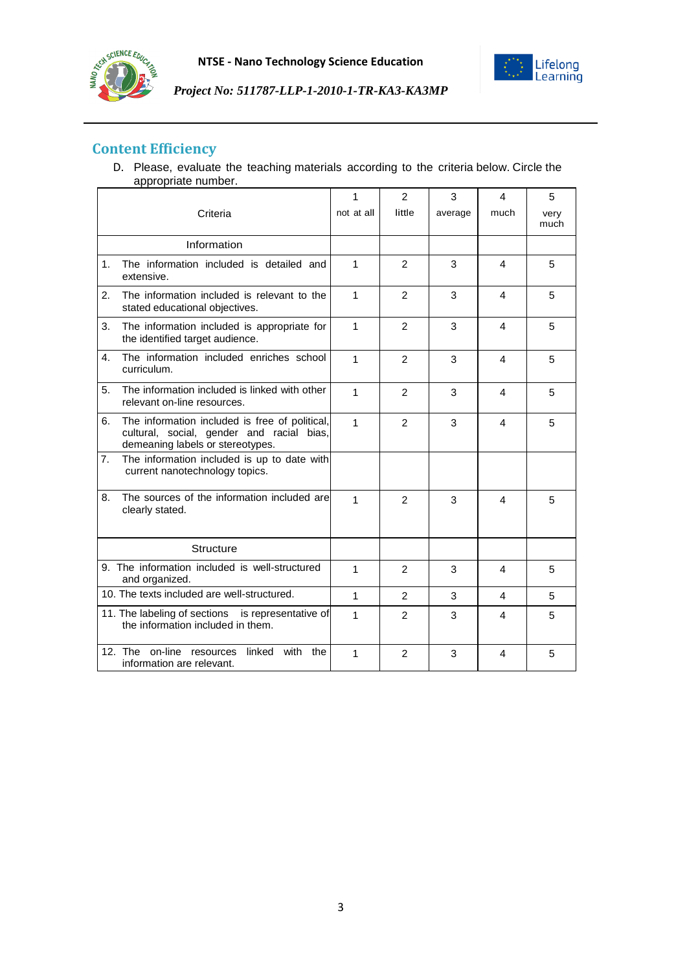



# **Content Efficiency**

D. Please, evaluate the teaching materials according to the criteria below. Circle the appropriate number.

|    |                                                                                                                                 | 1            | $\overline{2}$ | 3       | 4    | 5            |
|----|---------------------------------------------------------------------------------------------------------------------------------|--------------|----------------|---------|------|--------------|
|    | Criteria                                                                                                                        | not at all   | little         | average | much | very<br>much |
|    | Information                                                                                                                     |              |                |         |      |              |
| 1. | The information included is detailed and<br>extensive.                                                                          | $\mathbf{1}$ | 2              | 3       | 4    | 5            |
| 2. | The information included is relevant to the<br>stated educational objectives.                                                   | 1            | 2              | 3       | 4    | 5            |
| 3. | The information included is appropriate for<br>the identified target audience.                                                  | $\mathbf{1}$ | 2              | 3       | 4    | 5            |
| 4. | The information included enriches school<br>curriculum.                                                                         | $\mathbf{1}$ | 2              | 3       | 4    | 5            |
| 5. | The information included is linked with other<br>relevant on-line resources.                                                    | 1            | $\overline{2}$ | 3       | 4    | 5            |
| 6. | The information included is free of political,<br>cultural, social, gender and racial bias,<br>demeaning labels or stereotypes. | $\mathbf{1}$ | 2              | 3       | 4    | 5            |
| 7. | The information included is up to date with<br>current nanotechnology topics.                                                   |              |                |         |      |              |
| 8. | The sources of the information included are<br>clearly stated.                                                                  | $\mathbf{1}$ | $\overline{2}$ | 3       | 4    | 5            |
|    | <b>Structure</b>                                                                                                                |              |                |         |      |              |
|    | 9. The information included is well-structured<br>and organized.                                                                | 1            | $\overline{2}$ | 3       | 4    | 5            |
|    | 10. The texts included are well-structured.                                                                                     | $\mathbf{1}$ | $\mathcal{P}$  | 3       | 4    | 5            |
|    | 11. The labeling of sections is representative of<br>the information included in them.                                          | $\mathbf{1}$ | $\mathcal{P}$  | 3       | 4    | 5            |
|    | 12. The on-line resources<br>linked with<br>the<br>information are relevant.                                                    | 1            | 2              | 3       | 4    | 5            |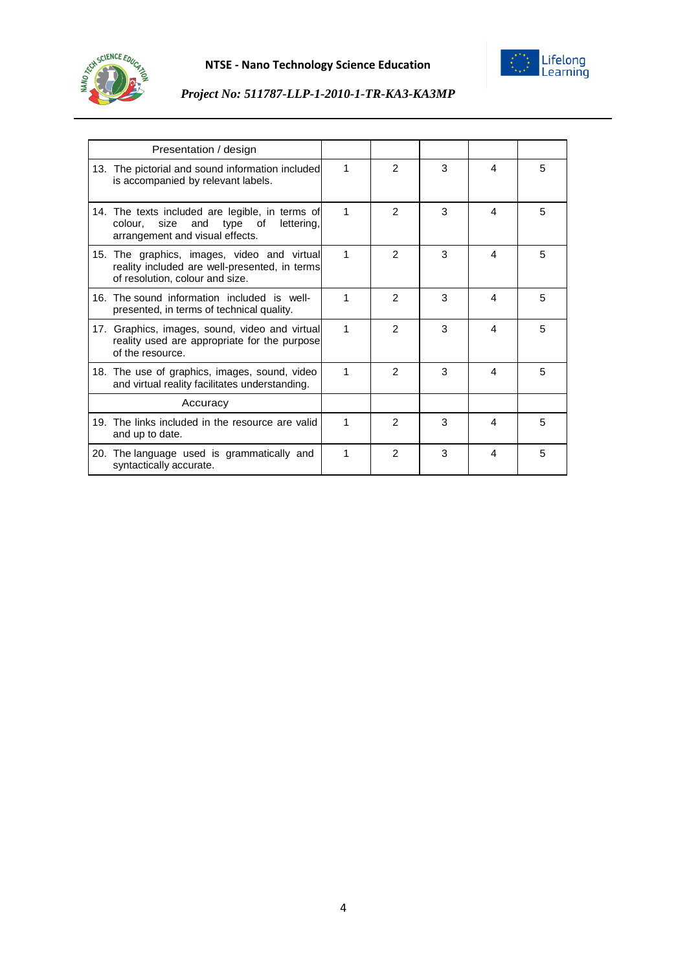



| Presentation / design                                                                                                                    |   |               |   |   |   |
|------------------------------------------------------------------------------------------------------------------------------------------|---|---------------|---|---|---|
| 13. The pictorial and sound information included<br>is accompanied by relevant labels.                                                   | 1 | $\mathcal{P}$ | 3 | 4 | 5 |
| 14. The texts included are legible, in terms of<br>colour.<br>size<br>and<br>type<br>lettering,<br>of<br>arrangement and visual effects. | 1 | $\mathcal{P}$ | 3 | 4 | 5 |
| 15. The graphics, images, video and virtual<br>reality included are well-presented, in terms<br>of resolution, colour and size.          | 1 | 2             | 3 | 4 | 5 |
| 16. The sound information included is well-<br>presented, in terms of technical quality.                                                 | 1 | $\mathcal{P}$ | 3 | 4 | 5 |
| 17. Graphics, images, sound, video and virtual<br>reality used are appropriate for the purpose<br>of the resource.                       | 1 | $\mathcal{P}$ | 3 | 4 | 5 |
| 18. The use of graphics, images, sound, video<br>and virtual reality facilitates understanding.                                          | 1 | $\mathcal{P}$ | 3 | 4 | 5 |
| Accuracy                                                                                                                                 |   |               |   |   |   |
| 19. The links included in the resource are valid<br>and up to date.                                                                      | 1 | $\mathcal{P}$ | 3 | 4 | 5 |
| 20. The language used is grammatically and<br>syntactically accurate.                                                                    | 1 | $\mathcal{P}$ | 3 | 4 | 5 |